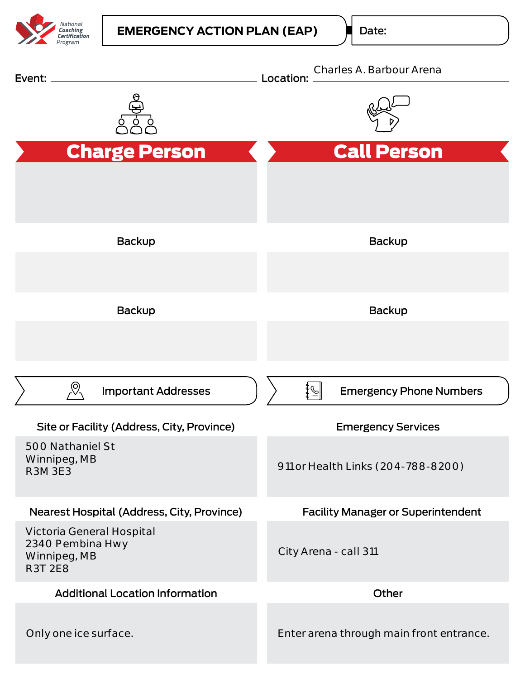

Date: